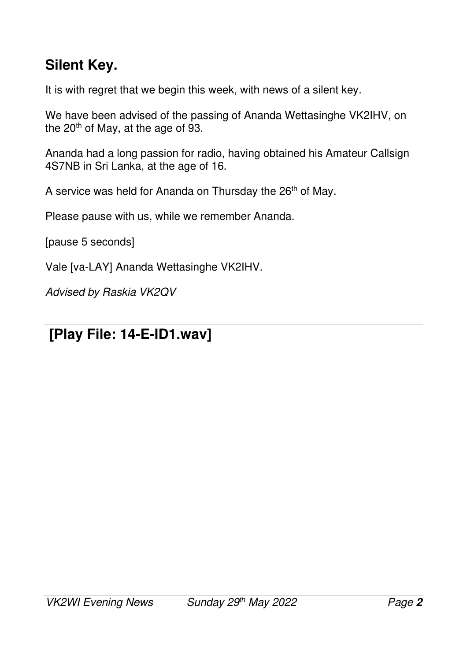### **Silent Key.**

It is with regret that we begin this week, with news of a silent key.

We have been advised of the passing of Ananda Wettasinghe VK2IHV, on the 20<sup>th</sup> of May, at the age of 93.

Ananda had a long passion for radio, having obtained his Amateur Callsign 4S7NB in Sri Lanka, at the age of 16.

A service was held for Ananda on Thursday the 26<sup>th</sup> of May.

Please pause with us, while we remember Ananda.

[pause 5 seconds]

Vale [va-LAY] Ananda Wettasinghe VK2IHV.

*Advised by Raskia VK2QV* 

#### **[Play File: 14-E-ID1.wav]**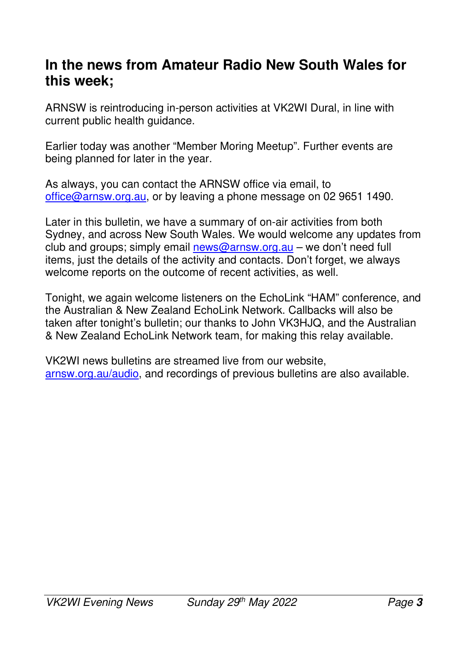#### **In the news from Amateur Radio New South Wales for this week;**

ARNSW is reintroducing in-person activities at VK2WI Dural, in line with current public health guidance.

Earlier today was another "Member Moring Meetup". Further events are being planned for later in the year.

As always, you can contact the ARNSW office via email, to office@arnsw.org.au, or by leaving a phone message on 02 9651 1490.

Later in this bulletin, we have a summary of on-air activities from both Sydney, and across New South Wales. We would welcome any updates from club and groups; simply email news@arnsw.org.au – we don't need full items, just the details of the activity and contacts. Don't forget, we always welcome reports on the outcome of recent activities, as well.

Tonight, we again welcome listeners on the EchoLink "HAM" conference, and the Australian & New Zealand EchoLink Network. Callbacks will also be taken after tonight's bulletin; our thanks to John VK3HJQ, and the Australian & New Zealand EchoLink Network team, for making this relay available.

VK2WI news bulletins are streamed live from our website, arnsw.org.au/audio, and recordings of previous bulletins are also available.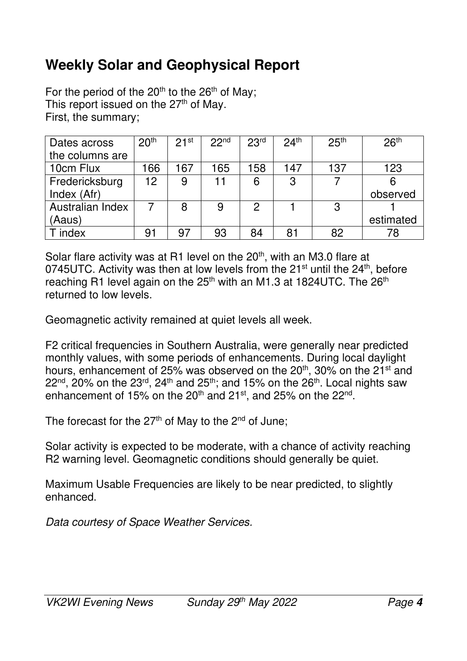## **Weekly Solar and Geophysical Report**

For the period of the  $20<sup>th</sup>$  to the  $26<sup>th</sup>$  of May; This report issued on the  $27<sup>th</sup>$  of May. First, the summary;

| Dates across     | 20 <sup>th</sup> | 21 <sup>st</sup> | 22 <sup>nd</sup> | 23 <sup>rd</sup> | 24 <sup>th</sup> | 25 <sup>th</sup> | 26 <sup>th</sup> |
|------------------|------------------|------------------|------------------|------------------|------------------|------------------|------------------|
| the columns are  |                  |                  |                  |                  |                  |                  |                  |
| 10cm Flux        | 166              | 167              | 165              | 158              | 147              | 137              | 123              |
| Fredericksburg   | 12               | 9                | 11               | 6                | 3                |                  |                  |
| Index (Afr)      |                  |                  |                  |                  |                  |                  | observed         |
| Australian Index |                  | 8                | 9                | 2                |                  | 3                |                  |
| (Aaus)           |                  |                  |                  |                  |                  |                  | estimated        |
| index            | ე.               | 97               | 93               | 84               | 81               | 82               | 78               |

Solar flare activity was at R1 level on the 20<sup>th</sup>, with an M3.0 flare at 0745UTC. Activity was then at low levels from the 21 $\mathrm{^{st}}$  until the 24 $\mathrm{^{th}}$ , before reaching R1 level again on the 25<sup>th</sup> with an M1.3 at 1824UTC. The 26<sup>th</sup> returned to low levels.

Geomagnetic activity remained at quiet levels all week.

F2 critical frequencies in Southern Australia, were generally near predicted monthly values, with some periods of enhancements. During local daylight hours, enhancement of 25% was observed on the 20<sup>th</sup>, 30% on the 21<sup>st</sup> and  $22<sup>nd</sup>$ , 20% on the  $23<sup>rd</sup>$ , 24<sup>th</sup> and  $25<sup>th</sup>$ ; and 15% on the  $26<sup>th</sup>$ . Local nights saw enhancement of 15% on the 20<sup>th</sup> and 21<sup>st</sup>, and 25% on the 22<sup>nd</sup>.

The forecast for the  $27<sup>th</sup>$  of May to the  $2<sup>nd</sup>$  of June;

Solar activity is expected to be moderate, with a chance of activity reaching R2 warning level. Geomagnetic conditions should generally be quiet.

Maximum Usable Frequencies are likely to be near predicted, to slightly enhanced.

*Data courtesy of Space Weather Services.*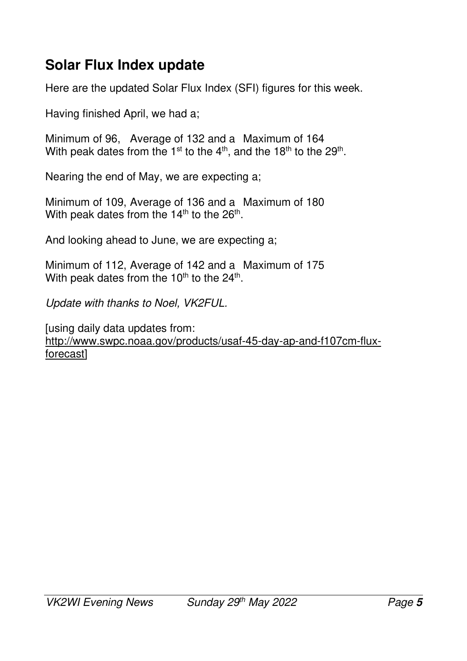## **Solar Flux Index update**

Here are the updated Solar Flux Index (SFI) figures for this week.

Having finished April, we had a;

Minimum of 96, Average of 132 and a Maximum of 164 With peak dates from the 1<sup>st</sup> to the 4<sup>th</sup>, and the 18<sup>th</sup> to the 29<sup>th</sup>.

Nearing the end of May, we are expecting a;

Minimum of 109, Average of 136 and a Maximum of 180 With peak dates from the 14<sup>th</sup> to the 26<sup>th</sup>.

And looking ahead to June, we are expecting a;

Minimum of 112, Average of 142 and a Maximum of 175 With peak dates from the 10<sup>th</sup> to the 24<sup>th</sup>.

*Update with thanks to Noel, VK2FUL.* 

[using daily data updates from: http://www.swpc.noaa.gov/products/usaf-45-day-ap-and-f107cm-fluxforecast]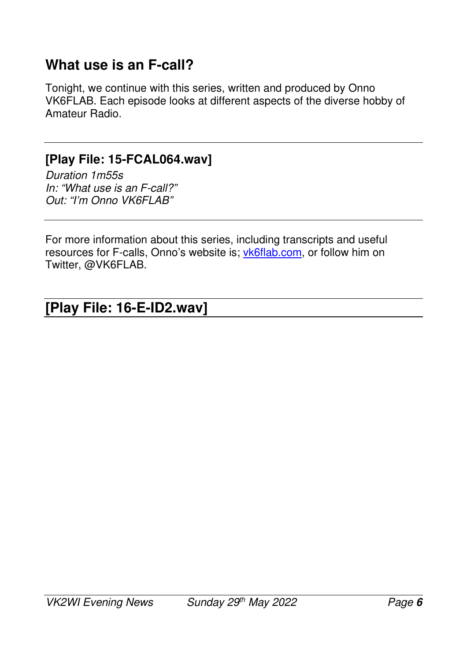### **What use is an F-call?**

Tonight, we continue with this series, written and produced by Onno VK6FLAB. Each episode looks at different aspects of the diverse hobby of Amateur Radio.

#### **[Play File: 15-FCAL064.wav]**

*Duration 1m55s In: "What use is an F-call?" Out: "I'm Onno VK6FLAB"* 

For more information about this series, including transcripts and useful resources for F-calls, Onno's website is; vk6flab.com, or follow him on Twitter, @VK6FLAB.

#### **[Play File: 16-E-ID2.wav]**   $\overline{\phantom{a}}$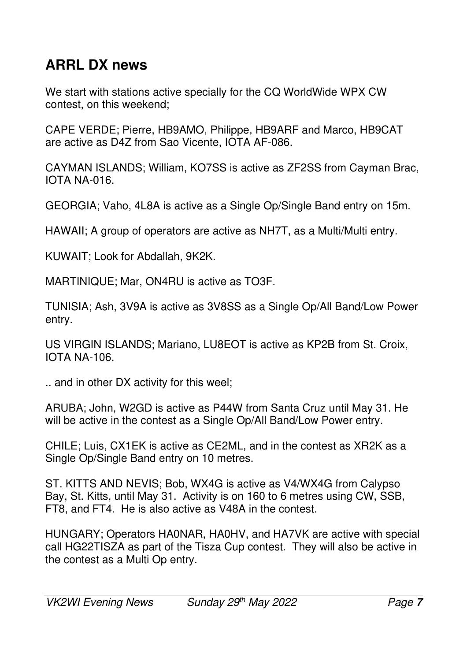## **ARRL DX news**

We start with stations active specially for the CQ WorldWide WPX CW contest, on this weekend;

CAPE VERDE; Pierre, HB9AMO, Philippe, HB9ARF and Marco, HB9CAT are active as D4Z from Sao Vicente, IOTA AF-086.

CAYMAN ISLANDS; William, KO7SS is active as ZF2SS from Cayman Brac, IOTA NA-016.

GEORGIA; Vaho, 4L8A is active as a Single Op/Single Band entry on 15m.

HAWAII; A group of operators are active as NH7T, as a Multi/Multi entry.

KUWAIT; Look for Abdallah, 9K2K.

MARTINIQUE; Mar, ON4RU is active as TO3F.

TUNISIA; Ash, 3V9A is active as 3V8SS as a Single Op/All Band/Low Power entry.

US VIRGIN ISLANDS; Mariano, LU8EOT is active as KP2B from St. Croix, IOTA NA-106.

.. and in other DX activity for this weel;

ARUBA; John, W2GD is active as P44W from Santa Cruz until May 31. He will be active in the contest as a Single Op/All Band/Low Power entry.

CHILE; Luis, CX1EK is active as CE2ML, and in the contest as XR2K as a Single Op/Single Band entry on 10 metres.

ST. KITTS AND NEVIS; Bob, WX4G is active as V4/WX4G from Calypso Bay, St. Kitts, until May 31. Activity is on 160 to 6 metres using CW, SSB, FT8, and FT4. He is also active as V48A in the contest.

HUNGARY; Operators HA0NAR, HA0HV, and HA7VK are active with special call HG22TISZA as part of the Tisza Cup contest. They will also be active in the contest as a Multi Op entry.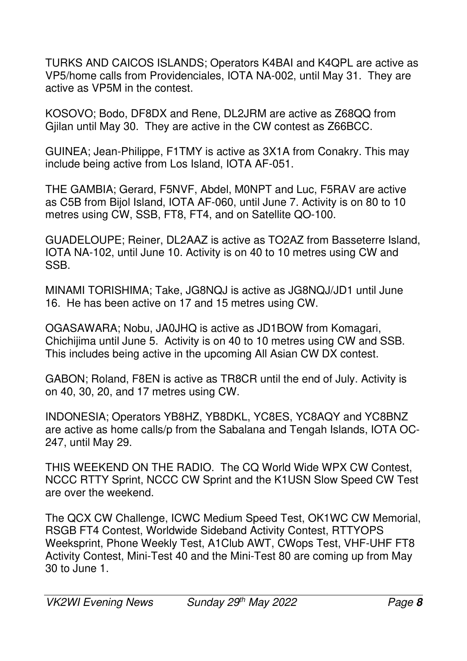TURKS AND CAICOS ISLANDS; Operators K4BAI and K4QPL are active as VP5/home calls from Providenciales, IOTA NA-002, until May 31. They are active as VP5M in the contest.

KOSOVO; Bodo, DF8DX and Rene, DL2JRM are active as Z68QQ from Gjilan until May 30. They are active in the CW contest as Z66BCC.

GUINEA; Jean-Philippe, F1TMY is active as 3X1A from Conakry. This may include being active from Los Island, IOTA AF-051.

THE GAMBIA; Gerard, F5NVF, Abdel, M0NPT and Luc, F5RAV are active as C5B from Bijol Island, IOTA AF-060, until June 7. Activity is on 80 to 10 metres using CW, SSB, FT8, FT4, and on Satellite QO-100.

GUADELOUPE; Reiner, DL2AAZ is active as TO2AZ from Basseterre Island, IOTA NA-102, until June 10. Activity is on 40 to 10 metres using CW and SSB.

MINAMI TORISHIMA; Take, JG8NQJ is active as JG8NQJ/JD1 until June 16. He has been active on 17 and 15 metres using CW.

OGASAWARA; Nobu, JA0JHQ is active as JD1BOW from Komagari, Chichijima until June 5. Activity is on 40 to 10 metres using CW and SSB. This includes being active in the upcoming All Asian CW DX contest.

GABON; Roland, F8EN is active as TR8CR until the end of July. Activity is on 40, 30, 20, and 17 metres using CW.

INDONESIA; Operators YB8HZ, YB8DKL, YC8ES, YC8AQY and YC8BNZ are active as home calls/p from the Sabalana and Tengah Islands, IOTA OC-247, until May 29.

THIS WEEKEND ON THE RADIO. The CQ World Wide WPX CW Contest, NCCC RTTY Sprint, NCCC CW Sprint and the K1USN Slow Speed CW Test are over the weekend.

The QCX CW Challenge, ICWC Medium Speed Test, OK1WC CW Memorial, RSGB FT4 Contest, Worldwide Sideband Activity Contest, RTTYOPS Weeksprint, Phone Weekly Test, A1Club AWT, CWops Test, VHF-UHF FT8 Activity Contest, Mini-Test 40 and the Mini-Test 80 are coming up from May 30 to June 1.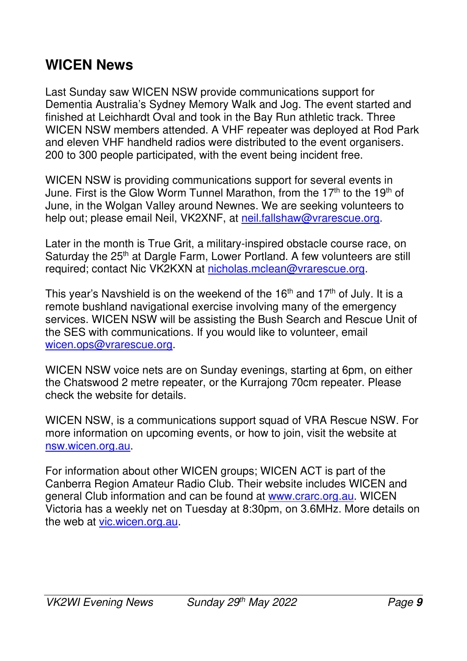### **WICEN News**

Last Sunday saw WICEN NSW provide communications support for Dementia Australia's Sydney Memory Walk and Jog. The event started and finished at Leichhardt Oval and took in the Bay Run athletic track. Three WICEN NSW members attended. A VHF repeater was deployed at Rod Park and eleven VHF handheld radios were distributed to the event organisers. 200 to 300 people participated, with the event being incident free.

WICEN NSW is providing communications support for several events in June. First is the Glow Worm Tunnel Marathon, from the 17<sup>th</sup> to the 19<sup>th</sup> of June, in the Wolgan Valley around Newnes. We are seeking volunteers to help out; please email Neil, VK2XNF, at neil.fallshaw@vrarescue.org.

Later in the month is True Grit, a military-inspired obstacle course race, on Saturday the 25<sup>th</sup> at Dargle Farm, Lower Portland. A few volunteers are still required; contact Nic VK2KXN at nicholas.mclean@vrarescue.org.

This year's Navshield is on the weekend of the  $16<sup>th</sup>$  and  $17<sup>th</sup>$  of July. It is a remote bushland navigational exercise involving many of the emergency services. WICEN NSW will be assisting the Bush Search and Rescue Unit of the SES with communications. If you would like to volunteer, email wicen.ops@vrarescue.org.

WICEN NSW voice nets are on Sunday evenings, starting at 6pm, on either the Chatswood 2 metre repeater, or the Kurrajong 70cm repeater. Please check the website for details.

WICEN NSW, is a communications support squad of VRA Rescue NSW. For more information on upcoming events, or how to join, visit the website at nsw.wicen.org.au.

For information about other WICEN groups; WICEN ACT is part of the Canberra Region Amateur Radio Club. Their website includes WICEN and general Club information and can be found at www.crarc.org.au. WICEN Victoria has a weekly net on Tuesday at 8:30pm, on 3.6MHz. More details on the web at vic.wicen.org.au.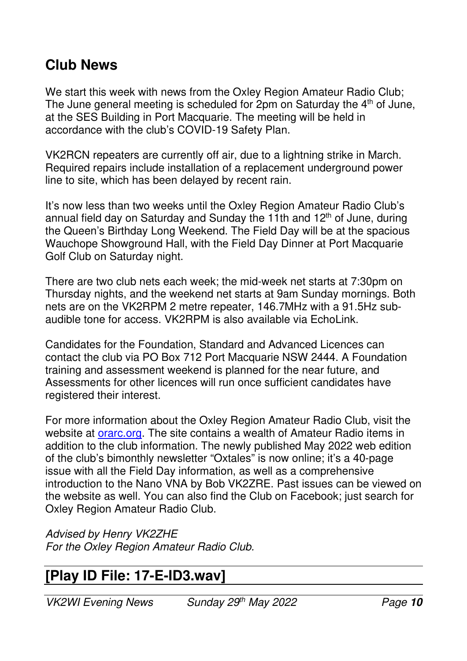#### **Club News**

We start this week with news from the Oxley Region Amateur Radio Club; The June general meeting is scheduled for  $2$ pm on Saturday the  $4<sup>th</sup>$  of June, at the SES Building in Port Macquarie. The meeting will be held in accordance with the club's COVID-19 Safety Plan.

VK2RCN repeaters are currently off air, due to a lightning strike in March. Required repairs include installation of a replacement underground power line to site, which has been delayed by recent rain.

It's now less than two weeks until the Oxley Region Amateur Radio Club's annual field day on Saturday and Sunday the 11th and  $12<sup>th</sup>$  of June, during the Queen's Birthday Long Weekend. The Field Day will be at the spacious Wauchope Showground Hall, with the Field Day Dinner at Port Macquarie Golf Club on Saturday night.

There are two club nets each week; the mid-week net starts at 7:30pm on Thursday nights, and the weekend net starts at 9am Sunday mornings. Both nets are on the VK2RPM 2 metre repeater, 146.7MHz with a 91.5Hz subaudible tone for access. VK2RPM is also available via EchoLink.

Candidates for the Foundation, Standard and Advanced Licences can contact the club via PO Box 712 Port Macquarie NSW 2444. A Foundation training and assessment weekend is planned for the near future, and Assessments for other licences will run once sufficient candidates have registered their interest.

For more information about the Oxley Region Amateur Radio Club, visit the website at *orarc.org*. The site contains a wealth of Amateur Radio items in addition to the club information. The newly published May 2022 web edition of the club's bimonthly newsletter "Oxtales" is now online; it's a 40-page issue with all the Field Day information, as well as a comprehensive introduction to the Nano VNA by Bob VK2ZRE. Past issues can be viewed on the website as well. You can also find the Club on Facebook; just search for Oxley Region Amateur Radio Club.

*Advised by Henry VK2ZHE For the Oxley Region Amateur Radio Club.* 

## **[Play ID File: 17-E-ID3.wav]**

*VK2WI Evening News Sunday 29th May 2022 Page* **10**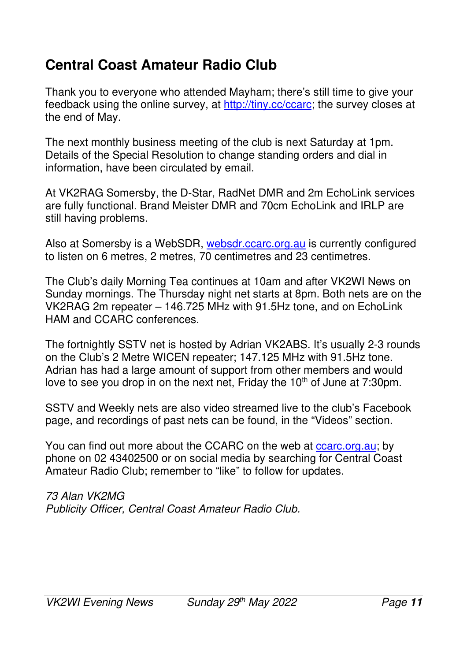## **Central Coast Amateur Radio Club**

Thank you to everyone who attended Mayham; there's still time to give your feedback using the online survey, at http://tiny.cc/ccarc; the survey closes at the end of May.

The next monthly business meeting of the club is next Saturday at 1pm. Details of the Special Resolution to change standing orders and dial in information, have been circulated by email.

At VK2RAG Somersby, the D-Star, RadNet DMR and 2m EchoLink services are fully functional. Brand Meister DMR and 70cm EchoLink and IRLP are still having problems.

Also at Somersby is a WebSDR, websdr.ccarc.org.au is currently configured to listen on 6 metres, 2 metres, 70 centimetres and 23 centimetres.

The Club's daily Morning Tea continues at 10am and after VK2WI News on Sunday mornings. The Thursday night net starts at 8pm. Both nets are on the VK2RAG 2m repeater – 146.725 MHz with 91.5Hz tone, and on EchoLink HAM and CCARC conferences.

The fortnightly SSTV net is hosted by Adrian VK2ABS. It's usually 2-3 rounds on the Club's 2 Metre WICEN repeater; 147.125 MHz with 91.5Hz tone. Adrian has had a large amount of support from other members and would love to see you drop in on the next net. Friday the  $10<sup>th</sup>$  of June at 7:30pm.

SSTV and Weekly nets are also video streamed live to the club's Facebook page, and recordings of past nets can be found, in the "Videos" section.

You can find out more about the CCARC on the web at ccarc.org.au; by phone on 02 43402500 or on social media by searching for Central Coast Amateur Radio Club; remember to "like" to follow for updates.

*73 Alan VK2MG Publicity Officer, Central Coast Amateur Radio Club.*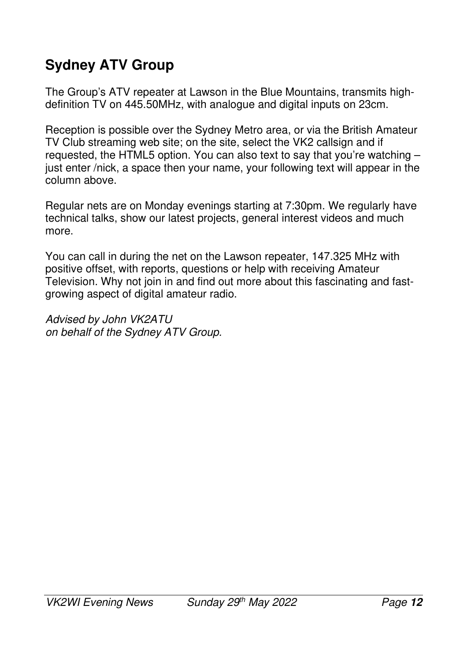# **Sydney ATV Group**

The Group's ATV repeater at Lawson in the Blue Mountains, transmits highdefinition TV on 445.50MHz, with analogue and digital inputs on 23cm.

Reception is possible over the Sydney Metro area, or via the British Amateur TV Club streaming web site; on the site, select the VK2 callsign and if requested, the HTML5 option. You can also text to say that you're watching – just enter /nick, a space then your name, your following text will appear in the column above.

Regular nets are on Monday evenings starting at 7:30pm. We regularly have technical talks, show our latest projects, general interest videos and much more.

You can call in during the net on the Lawson repeater, 147.325 MHz with positive offset, with reports, questions or help with receiving Amateur Television. Why not join in and find out more about this fascinating and fastgrowing aspect of digital amateur radio.

*Advised by John VK2ATU on behalf of the Sydney ATV Group.*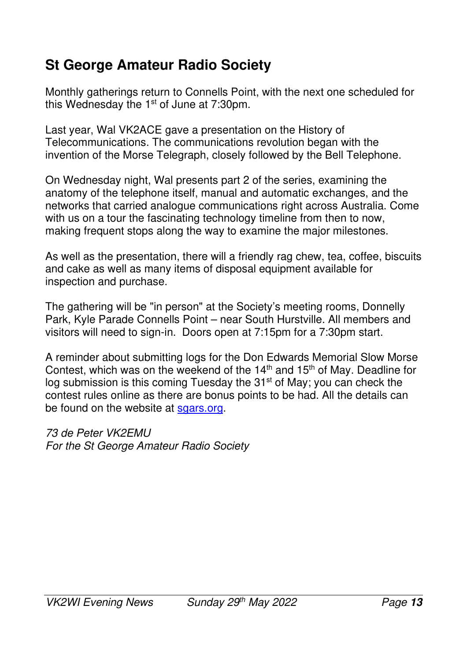## **St George Amateur Radio Society**

Monthly gatherings return to Connells Point, with the next one scheduled for this Wednesday the  $1<sup>st</sup>$  of June at 7:30pm.

Last year, Wal VK2ACE gave a presentation on the History of Telecommunications. The communications revolution began with the invention of the Morse Telegraph, closely followed by the Bell Telephone.

On Wednesday night, Wal presents part 2 of the series, examining the anatomy of the telephone itself, manual and automatic exchanges, and the networks that carried analogue communications right across Australia. Come with us on a tour the fascinating technology timeline from then to now, making frequent stops along the way to examine the major milestones.

As well as the presentation, there will a friendly rag chew, tea, coffee, biscuits and cake as well as many items of disposal equipment available for inspection and purchase.

The gathering will be "in person" at the Society's meeting rooms, Donnelly Park, Kyle Parade Connells Point – near South Hurstville. All members and visitors will need to sign-in. Doors open at 7:15pm for a 7:30pm start.

A reminder about submitting logs for the Don Edwards Memorial Slow Morse Contest, which was on the weekend of the  $14<sup>th</sup>$  and  $15<sup>th</sup>$  of May. Deadline for log submission is this coming Tuesday the 31<sup>st</sup> of May; you can check the contest rules online as there are bonus points to be had. All the details can be found on the website at sgars.org.

*73 de Peter VK2EMU For the St George Amateur Radio Society*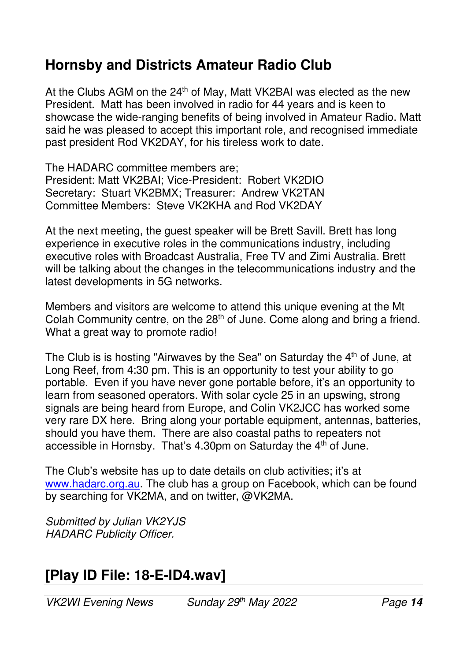## **Hornsby and Districts Amateur Radio Club**

At the Clubs AGM on the 24<sup>th</sup> of May, Matt VK2BAI was elected as the new President. Matt has been involved in radio for 44 years and is keen to showcase the wide-ranging benefits of being involved in Amateur Radio. Matt said he was pleased to accept this important role, and recognised immediate past president Rod VK2DAY, for his tireless work to date.

The HADARC committee members are; President: Matt VK2BAI; Vice-President: Robert VK2DIO Secretary: Stuart VK2BMX; Treasurer: Andrew VK2TAN Committee Members: Steve VK2KHA and Rod VK2DAY

At the next meeting, the guest speaker will be Brett Savill. Brett has long experience in executive roles in the communications industry, including executive roles with Broadcast Australia, Free TV and Zimi Australia. Brett will be talking about the changes in the telecommunications industry and the latest developments in 5G networks.

Members and visitors are welcome to attend this unique evening at the Mt Colah Community centre, on the  $28<sup>th</sup>$  of June. Come along and bring a friend. What a great way to promote radio!

The Club is is hosting "Airwaves by the Sea" on Saturday the  $4<sup>th</sup>$  of June, at Long Reef, from 4:30 pm. This is an opportunity to test your ability to go portable. Even if you have never gone portable before, it's an opportunity to learn from seasoned operators. With solar cycle 25 in an upswing, strong signals are being heard from Europe, and Colin VK2JCC has worked some very rare DX here. Bring along your portable equipment, antennas, batteries, should you have them. There are also coastal paths to repeaters not accessible in Hornsby. That's 4.30pm on Saturday the 4<sup>th</sup> of June.

The Club's website has up to date details on club activities; it's at www.hadarc.org.au. The club has a group on Facebook, which can be found by searching for VK2MA, and on twitter, @VK2MA.

*Submitted by Julian VK2YJS HADARC Publicity Officer.* 

### **[Play ID File: 18-E-ID4.wav]**